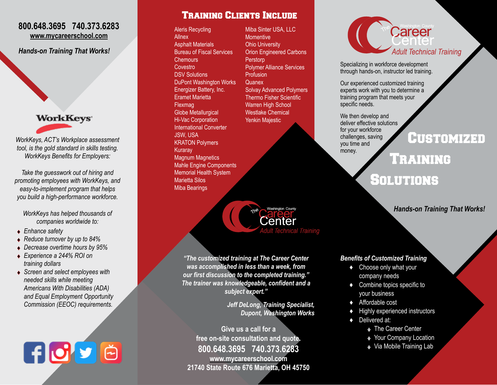#### **800.648.3695 740.373.6283 www.mycareerschool.com**

*Hands-on Training That Works!*

**WorkKeys** 

*WorkKeys, ACT's Workplace assessment tool, is the gold standard in skills testing. WorkKeys Benefits for Employers:*

*Take the guesswork out of hiring and promoting employees with WorkKeys, and easy-to-implement program that helps you build a high-performance workforce.* 

*WorkKeys has helped thousands of companies worldwide to:*

- ♦ *Enhance safety*
- ♦ *Reduce turnover by up to 84%*
- ♦ *Decrease overtime hours by 95%*
- ♦ *Experience a 244% ROI on training dollars*
- ♦ *Screen and select employees with needed skills while meeting Americans With Disabilities (ADA) and Equal Employment Opportunity Commission (EEOC) requirements.*

日づり色

Training Clients Include

Aleris Recycling **Allnex** Asphalt Materials Bureau of Fiscal Services **Chemours Covestro** DSV Solutions DuPont Washington Works Energizer Battery, Inc. Eramet Marietta Flexmag Globe Metallurgical Hi-Vac Corporation International Converter JSW, USA KRATON Polymers Kuraray Magnum Magnetics Mahle Engine Components Memorial Health System Marietta Silos Miba Bearings

Miba Sinter USA, LLC **Momentive** Ohio University Orion Engineered Carbons **Perstorp** Polymer Alliance Services **Profusion Quanex** Solvay Advanced Polymers Thermo Fisher Scientific Warren High School Westlake Chemical Yenkin Majestic



*"The customized training at The Career Center was accomplished in less than a week, from our first discussion to the completed training." The trainer was knowledgeable, confident and a subject expert."*

> *Jeff DeLong, Training Specialist, Dupont, Washington Works*

**Give us a call for a free on-site consultation and quote. 800.648.3695 740.373.6283 www.mycareerschool.com 21740 State Route 676 Marietta, OH 45750**

# Career *Adult Technical Training*

Specializing in workforce development through hands-on, instructor led training.

Our experienced customized training experts work with you to determine a training program that meets your specific needs.

We then develop and deliver effective solutions for your workforce challenges, saving you time and money.

### Customized

## Training **SOLUTIONS**

*Hands-on Training That Works!*

#### *Benefits of Customized Training*

- ♦ Choose only what your company needs
- ♦ Combine topics specific to your business
- ♦ Affordable cost
- ♦ Highly experienced instructors
- ♦ Delivered at:
	- ◆ The Career Center
	- ◆ Your Company Location
	- ◆ Via Mobile Training Lab